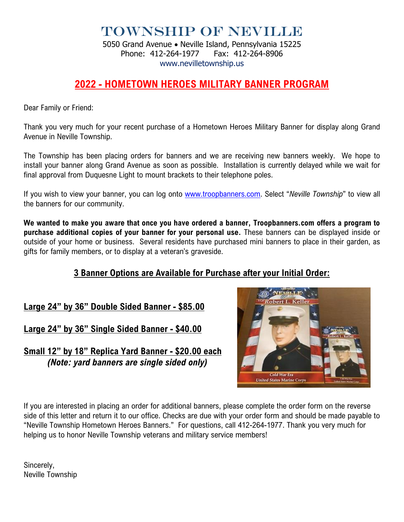Township of Neville

5050 Grand Avenue • Neville Island, Pennsylvania 15225 Phone: 412-264-1977 Fax: 412-264-8906 www.nevilletownship.us

## **2022 - HOMETOWN HEROES MILITARY BANNER PROGRAM**

Dear Family or Friend:

Thank you very much for your recent purchase of a Hometown Heroes Military Banner for display along Grand Avenue in Neville Township.

The Township has been placing orders for banners and we are receiving new banners weekly. We hope to install your banner along Grand Avenue as soon as possible. Installation is currently delayed while we wait for final approval from Duquesne Light to mount brackets to their telephone poles.

If you wish to view your banner, you can log onto [www.troopbanners.com.](http://www.troopbanners.com/) Select "*Neville Township*" to view all the banners for our community.

**We wanted to make you aware that once you have ordered a banner, Troopbanners.com offers a program to purchase additional copies of your banner for your personal use.** These banners can be displayed inside or outside of your home or business. Several residents have purchased mini banners to place in their garden, as gifts for family members, or to display at a veteran's graveside.

## **3 Banner Options are Available for Purchase after your Initial Order:**

**Large 24" by 36" Double Sided Banner - \$85.00**

**Large 24" by 36" Single Sided Banner - \$40.00**

**Small 12" by 18" Replica Yard Banner - \$20.00 each** *(Note: yard banners are single sided only)*



If you are interested in placing an order for additional banners, please complete the order form on the reverse side of this letter and return it to our office. Checks are due with your order form and should be made payable to "Neville Township Hometown Heroes Banners." For questions, call 412-264-1977. Thank you very much for helping us to honor Neville Township veterans and military service members!

Sincerely, Neville Township